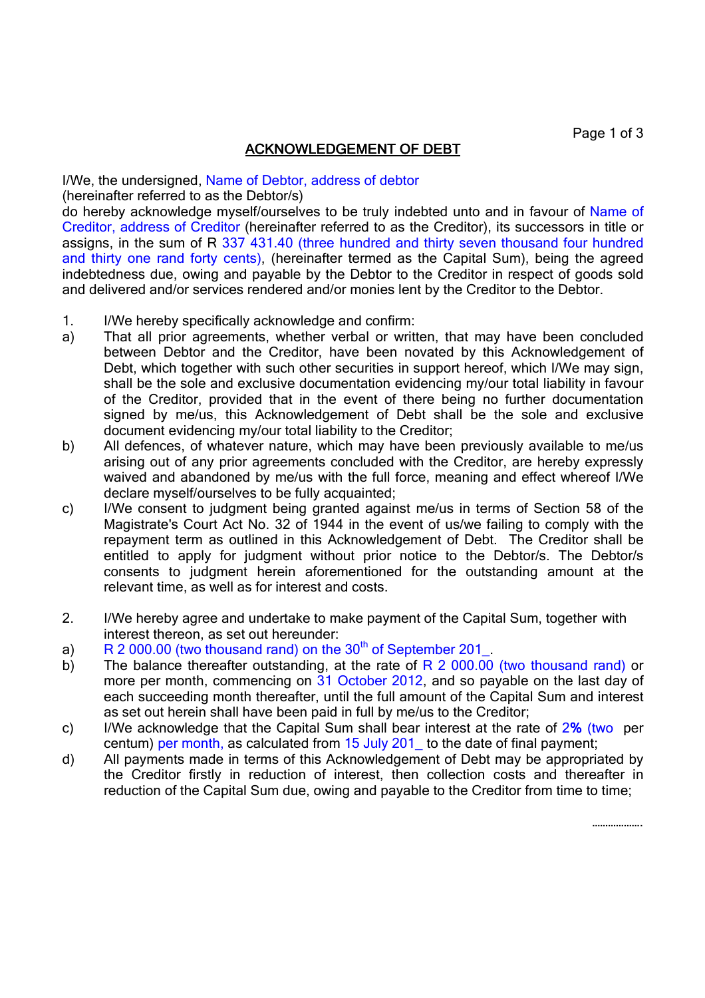Page 1 of 3

……………….

## ACKNOWLEDGEMENT OF DEBT

I/We, the undersigned, Name of Debtor, address of debtor

(hereinafter referred to as the Debtor/s)

do hereby acknowledge myself/ourselves to be truly indebted unto and in favour of Name of Creditor, address of Creditor (hereinafter referred to as the Creditor), its successors in title or assigns, in the sum of R 337 431.40 (three hundred and thirty seven thousand four hundred and thirty one rand forty cents), (hereinafter termed as the Capital Sum), being the agreed indebtedness due, owing and payable by the Debtor to the Creditor in respect of goods sold and delivered and/or services rendered and/or monies lent by the Creditor to the Debtor.

- 1. I/We hereby specifically acknowledge and confirm:
- a) That all prior agreements, whether verbal or written, that may have been concluded between Debtor and the Creditor, have been novated by this Acknowledgement of Debt, which together with such other securities in support hereof, which I/We may sign, shall be the sole and exclusive documentation evidencing my/our total liability in favour of the Creditor, provided that in the event of there being no further documentation signed by me/us, this Acknowledgement of Debt shall be the sole and exclusive document evidencing my/our total liability to the Creditor;
- b) All defences, of whatever nature, which may have been previously available to me/us arising out of any prior agreements concluded with the Creditor, are hereby expressly waived and abandoned by me/us with the full force, meaning and effect whereof I/We declare myself/ourselves to be fully acquainted;
- c) I/We consent to judgment being granted against me/us in terms of Section 58 of the Magistrate's Court Act No. 32 of 1944 in the event of us/we failing to comply with the repayment term as outlined in this Acknowledgement of Debt. The Creditor shall be entitled to apply for judgment without prior notice to the Debtor/s. The Debtor/s consents to judgment herein aforementioned for the outstanding amount at the relevant time, as well as for interest and costs.
- 2. I/We hereby agree and undertake to make payment of the Capital Sum, together with interest thereon, as set out hereunder:
- a)  $R$  2 000.00 (two thousand rand) on the 30<sup>th</sup> of September 201\_.
- b) The balance thereafter outstanding, at the rate of  $R$  2 000.00 (two thousand rand) or more per month, commencing on 31 October 2012, and so payable on the last day of each succeeding month thereafter, until the full amount of the Capital Sum and interest as set out herein shall have been paid in full by me/us to the Creditor;
- c) I/We acknowledge that the Capital Sum shall bear interest at the rate of  $2\%$  (two per centum) per month, as calculated from  $15$  July  $201$  to the date of final payment;
- d) All payments made in terms of this Acknowledgement of Debt may be appropriated by the Creditor firstly in reduction of interest, then collection costs and thereafter in reduction of the Capital Sum due, owing and payable to the Creditor from time to time;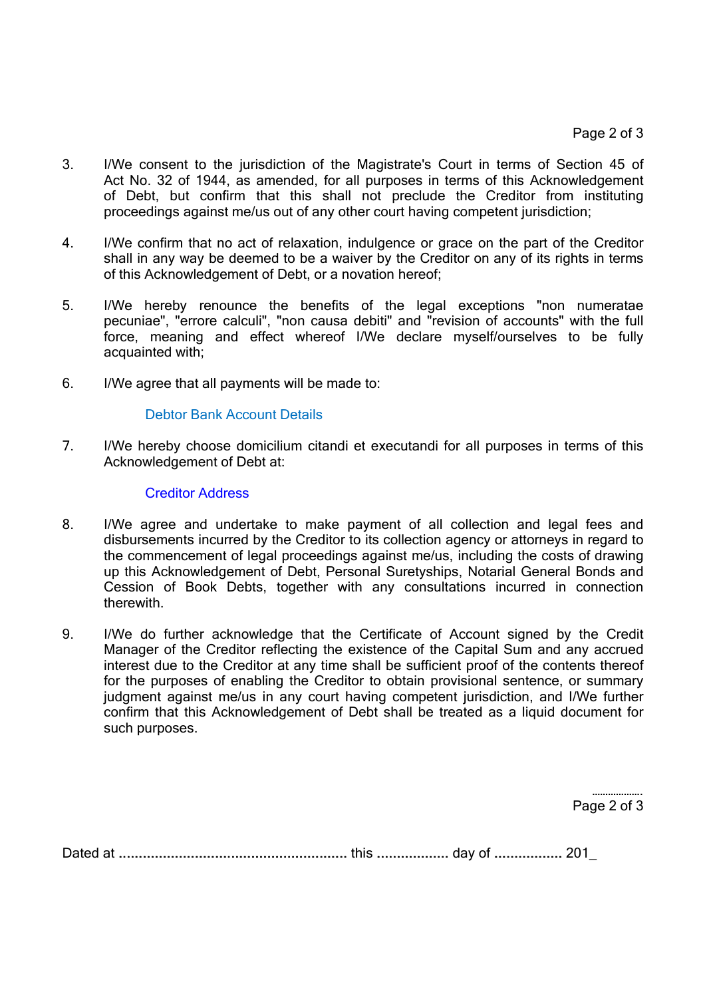- 3. I/We consent to the jurisdiction of the Magistrate's Court in terms of Section 45 of Act No. 32 of 1944, as amended, for all purposes in terms of this Acknowledgement of Debt, but confirm that this shall not preclude the Creditor from instituting proceedings against me/us out of any other court having competent jurisdiction;
- 4. I/We confirm that no act of relaxation, indulgence or grace on the part of the Creditor shall in any way be deemed to be a waiver by the Creditor on any of its rights in terms of this Acknowledgement of Debt, or a novation hereof;
- 5. I/We hereby renounce the benefits of the legal exceptions "non numeratae pecuniae", "errore calculi", "non causa debiti" and "revision of accounts" with the full force, meaning and effect whereof I/We declare myself/ourselves to be fully acquainted with;
- 6. I/We agree that all payments will be made to:

## Debtor Bank Account Details

7. I/We hereby choose domicilium citandi et executandi for all purposes in terms of this Acknowledgement of Debt at:

## Creditor Address

- 8. I/We agree and undertake to make payment of all collection and legal fees and disbursements incurred by the Creditor to its collection agency or attorneys in regard to the commencement of legal proceedings against me/us, including the costs of drawing up this Acknowledgement of Debt, Personal Suretyships, Notarial General Bonds and Cession of Book Debts, together with any consultations incurred in connection therewith.
- 9. I/We do further acknowledge that the Certificate of Account signed by the Credit Manager of the Creditor reflecting the existence of the Capital Sum and any accrued interest due to the Creditor at any time shall be sufficient proof of the contents thereof for the purposes of enabling the Creditor to obtain provisional sentence, or summary judgment against me/us in any court having competent jurisdiction, and I/We further confirm that this Acknowledgement of Debt shall be treated as a liquid document for such purposes.

………………… Page 2 of 3

Dated at .......................................... ................................................... ............... this .................. .................................... day of ................. ................. ................. 201\_